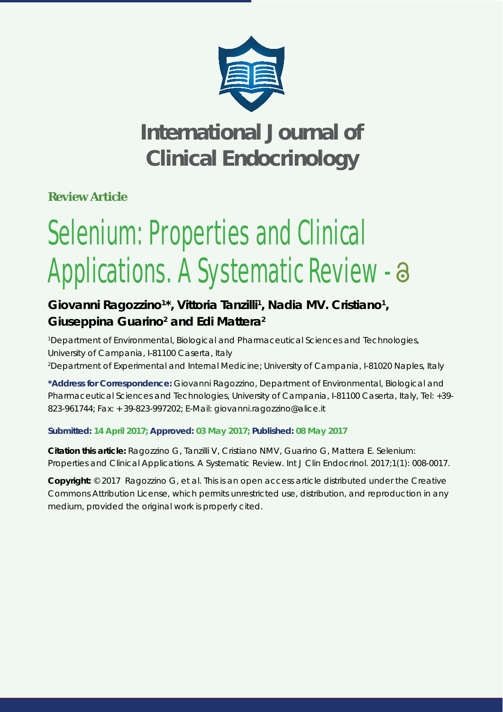

**Review Article**

# Selenium: Properties and Clinical Applications. A Systematic Review -

### Giovanni Ragozzino<sup>1\*</sup>, Vittoria Tanzilli<sup>1</sup>, Nadia MV. Cristiano<sup>1</sup>, Giuseppina Guarino<sup>2</sup> and Edi Mattera<sup>2</sup>

*1 Department of Environmental, Biological and Pharmaceutical Sciences and Technologies, University of Campania, I-81100 Caserta, Italy 2 Department of Experimental and Internal Medicine; University of Campania, I-81020 Naples, Italy*

**\*Address for Correspondence:** Giovanni Ragozzino, Department of Environmental, Biological and Pharmaceutical Sciences and Technologies, University of Campania, I-81100 Caserta, Italy, Tel: +39- 823-961744; Fax: + 39-823-997202; E-Mail: giovanni.ragozzino@alice.it

#### **Submitted: 14 April 2017; Approved: 03 May 2017; Published: 08 May 2017**

**Citation this article:** Ragozzino G, Tanzilli V, Cristiano NMV, Guarino G, Mattera E. Selenium: Properties and Clinical Applications. A Systematic Review. Int J Clin Endocrinol. 2017;1(1): 008-0017.

**Copyright:** © 2017 Ragozzino G, et al. This is an open access article distributed under the Creative Commons Attribution License, which permits unrestricted use, distribution, and reproduction in any medium, provided the original work is properly cited.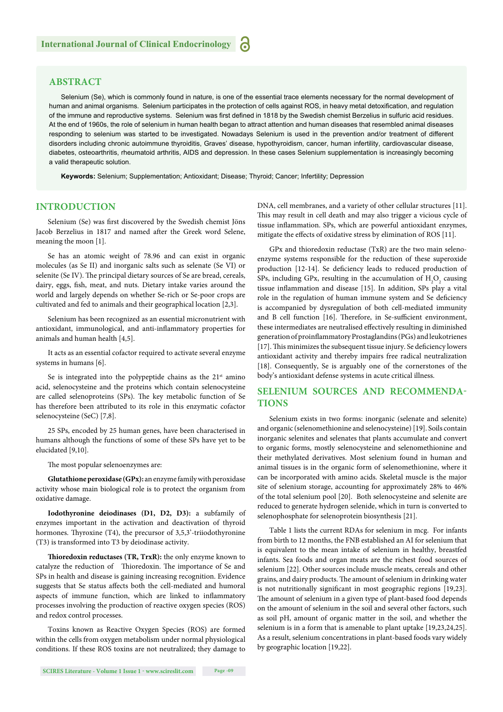#### **ABSTRACT**

Selenium (Se), which is commonly found in nature, is one of the essential trace elements necessary for the normal development of human and animal organisms. Selenium participates in the protection of cells against ROS, in heavy metal detoxification, and regulation of the immune and reproductive systems. Selenium was first defined in 1818 by the Swedish chemist Berzelius in sulfuric acid residues. At the end of 1960s, the role of selenium in human health began to attract attention and human diseases that resembled animal diseases responding to selenium was started to be investigated. Nowadays Selenium is used in the prevention and/or treatment of different disorders including chronic autoimmune thyroiditis, Graves' disease, hypothyroidism, cancer, human infertility, cardiovascular disease, diabetes, osteoarthritis, rheumatoid arthritis, AIDS and depression. In these cases Selenium supplementation is increasingly becoming a valid therapeutic solution.

**Keywords:** Selenium; Supplementation; Antioxidant; Disease; Thyroid; Cancer; Infertility; Depression

#### **INTRODUCTION**

Selenium (Se) was first discovered by the Swedish chemist Jöns Jacob Berzelius in 1817 and named after the Greek word Selene, meaning the moon [1].

Se has an atomic weight of 78.96 and can exist in organic molecules (as Se II) and inorganic salts such as selenate (Se VI) or selenite (Se IV). The principal dietary sources of Se are bread, cereals, dairy, eggs, fish, meat, and nuts. Dietary intake varies around the world and largely depends on whether Se-rich or Se-poor crops are cultivated and fed to animals and their geographical location [2,3].

Selenium has been recognized as an essential micronutrient with antioxidant, immunological, and anti-inflammatory properties for animals and human health [4,5].

It acts as an essential cofactor required to activate several enzyme systems in humans [6].

Se is integrated into the polypeptide chains as the  $21<sup>st</sup>$  amino acid, selenocysteine and the proteins which contain selenocysteine are called selenoproteins (SPs). The key metabolic function of Se has therefore been attributed to its role in this enzymatic cofactor selenocysteine (SeC) [7,8].

25 SPs, encoded by 25 human genes, have been characterised in humans although the functions of some of these SPs have yet to be elucidated [9,10].

The most popular selenoenzymes are:

**Glutathione peroxidase (GPx):** an enzyme family with peroxidase activity whose main biological role is to protect the organism from oxidative damage.

**Iodothyronine deiodinases (D1, D2, D3):** a subfamily of enzymes important in the activation and deactivation of thyroid hormones. Thyroxine  $(T4)$ , the precursor of 3,5,3'-triiodothyronine (T3) is transformed into T3 by deiodinase activity.

**Thioredoxin reductases (TR, TrxR):** the only enzyme known to catalyze the reduction of Thioredoxin. The importance of Se and SPs in health and disease is gaining increasing recognition. Evidence suggests that Se status affects both the cell-mediated and humoral aspects of immune function, which are linked to inflammatory processes involving the production of reactive oxygen species (ROS) and redox control processes.

Toxins known as Reactive Oxygen Species (ROS) are formed within the cells from oxygen metabolism under normal physiological conditions. If these ROS toxins are not neutralized; they damage to DNA, cell membranes, and a variety of other cellular structures [11]. This may result in cell death and may also trigger a vicious cycle of tissue inflammation. SPs, which are powerful antioxidant enzymes, mitigate the effects of oxidative stress by elimination of ROS [11].

GPx and thioredoxin reductase (TxR) are the two main selenoenzyme systems responsible for the reduction of these superoxide production [12-14]. Se deficiency leads to reduced production of SPs, including GPx, resulting in the accumulation of  $H_2O_2$  causing tissue inflammation and disease [15]. In addition, SPs play a vital role in the regulation of human immune system and Se deficiency is accompanied by dysregulation of both cell-mediated immunity and B cell function [16]. Therefore, in Se-sufficient environment, these intermediates are neutralised effectively resulting in diminished generation of proinflammatory Prostaglandins (PGs) and leukotrienes  $[17]$ . This minimizes the subsequent tissue injury. Se deficiency lowers antioxidant activity and thereby impairs free radical neutralization [18]. Consequently, Se is arguably one of the cornerstones of the body's antioxidant defense systems in acute critical illness.

#### **SELENIUM SOURCES AND RECOMMENDA-TIONS**

Selenium exists in two forms: inorganic (selenate and selenite) and organic (selenomethionine and selenocysteine) [19]. Soils contain inorganic selenites and selenates that plants accumulate and convert to organic forms, mostly selenocysteine and selenomethionine and their methylated derivatives. Most selenium found in human and animal tissues is in the organic form of selenomethionine, where it can be incorporated with amino acids. Skeletal muscle is the major site of selenium storage, accounting for approximately 28% to 46% of the total selenium pool [20]. Both selenocysteine and selenite are reduced to generate hydrogen selenide, which in turn is converted to selenophosphate for selenoprotein biosynthesis [21].

Table 1 lists the current RDAs for selenium in mcg. For infants from birth to 12 months, the FNB established an AI for selenium that is equivalent to the mean intake of selenium in healthy, breastfed infants. Sea foods and organ meats are the richest food sources of selenium [22]. Other sources include muscle meats, cereals and other grains, and dairy products. The amount of selenium in drinking water is not nutritionally significant in most geographic regions [19,23]. The amount of selenium in a given type of plant-based food depends on the amount of selenium in the soil and several other factors, such as soil pH, amount of organic matter in the soil, and whether the selenium is in a form that is amenable to plant uptake [19,23,24,25]. As a result, selenium concentrations in plant-based foods vary widely by geographic location [19,22].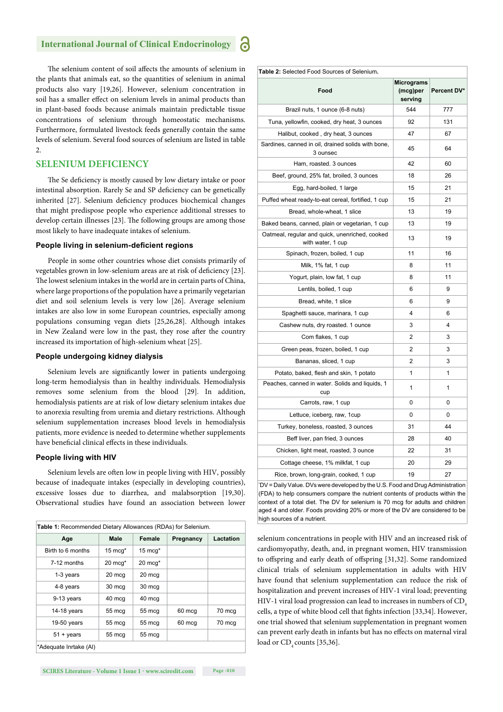The selenium content of soil affects the amounts of selenium in the plants that animals eat, so the quantities of selenium in animal products also vary [19,26]. However, selenium concentration in soil has a smaller effect on selenium levels in animal products than in plant-based foods because animals maintain predictable tissue concentrations of selenium through homeostatic mechanisms. Furthermore, formulated livestock feeds generally contain the same levels of selenium. Several food sources of selenium are listed in table  $2.2$ 

#### **SELENIUM DEFICIENCY**

The Se deficiency is mostly caused by low dietary intake or poor intestinal absorption. Rarely Se and SP deficiency can be genetically inherited [27]. Selenium deficiency produces biochemical changes that might predispose people who experience additional stresses to develop certain illnesses [23]. The following groups are among those most likely to have inadequate intakes of selenium.

#### **People living in selenium-deficient regions**

People in some other countries whose diet consists primarily of vegetables grown in low-selenium areas are at risk of deficiency [23]. The lowest selenium intakes in the world are in certain parts of China, where large proportions of the population have a primarily vegetarian diet and soil selenium levels is very low [26]. Average selenium intakes are also low in some European countries, especially among populations consuming vegan diets [25,26,28]. Although intakes in New Zealand were low in the past, they rose after the country increased its importation of high-selenium wheat [25].

#### **People undergoing kidney dialysis**

Selenium levels are significantly lower in patients undergoing long-term hemodialysis than in healthy individuals. Hemodialysis removes some selenium from the blood [29]. In addition, hemodialysis patients are at risk of low dietary selenium intakes due to anorexia resulting from uremia and dietary restrictions. Although selenium supplementation increases blood levels in hemodialysis patients, more evidence is needed to determine whether supplements have beneficial clinical effects in these individuals.

#### **People living with HIV**

Selenium levels are often low in people living with HIV, possibly because of inadequate intakes (especially in developing countries), excessive losses due to diarrhea, and malabsorption [19,30]. Observational studies have found an association between lower

| <b>Table 1:</b> Recommended Dietary Allowances (RDAs) for Selenium. |                    |                    |           |           |  |
|---------------------------------------------------------------------|--------------------|--------------------|-----------|-----------|--|
| Age                                                                 | Male               | Female             | Pregnancy | Lactation |  |
| Birth to 6 months                                                   | $15 \text{ mca}^*$ | $15 \text{ mca}^*$ |           |           |  |
| 7-12 months                                                         | $20$ mcq $*$       | $20 \text{ mca}^*$ |           |           |  |
| 1-3 years                                                           | 20 mcg             | 20 mcg             |           |           |  |
| 4-8 years                                                           | 30 mcg             | 30 mcg             |           |           |  |
| 9-13 years                                                          | 40 mcg             | 40 mcg             |           |           |  |
| 14-18 years                                                         | 55 mcg             | 55 mcg             | 60 mcg    | 70 mcg    |  |
| $19-50$ years                                                       | 55 mcg             | 55 mcg             | 60 mcg    | 70 mcq    |  |
| $51 + \text{years}$                                                 | 55 mcg             | 55 mcg             |           |           |  |
| *Adequate Inrtake (AI)                                              |                    |                    |           |           |  |

| Table 2: Selected Food Sources of Selenium.                         |                                   |             |
|---------------------------------------------------------------------|-----------------------------------|-------------|
| Food                                                                | Micrograms<br>(mcg)per<br>serving | Percent DV* |
| Brazil nuts, 1 ounce (6-8 nuts)                                     | 544                               | 777         |
| Tuna, yellowfin, cooked, dry heat, 3 ounces                         | 92                                | 131         |
| Halibut, cooked, dry heat, 3 ounces                                 | 47                                | 67          |
| Sardines, canned in oil, drained solids with bone,<br>3 ounsec      | 45                                | 64          |
| Ham, roasted. 3 ounces                                              | 42                                | 60          |
| Beef, ground, 25% fat, broiled, 3 ounces                            | 18                                | 26          |
| Egg, hard-boiled, 1 large                                           | 15                                | 21          |
| Puffed wheat ready-to-eat cereal, fortified, 1 cup                  | 15                                | 21          |
| Bread, whole-wheat, 1 slice                                         | 13                                | 19          |
| Baked beans, canned, plain or vegetarian, 1 cup                     | 13                                | 19          |
| Oatmeal, regular and quick, unenriched, cooked<br>with water, 1 cup | 13                                | 19          |
| Spinach, frozen, boiled, 1 cup                                      | 11                                | 16          |
| Milk, 1% fat, 1 cup                                                 | 8                                 | 11          |
| Yogurt, plain, low fat, 1 cup                                       | 8                                 | 11          |
| Lentils, boiled, 1 cup                                              | 6                                 | 9           |
| Bread, white, 1 slice                                               | 6                                 | 9           |
| Spaghetti sauce, marinara, 1 cup                                    | 4                                 | 6           |
| Cashew nuts, dry roasted. 1 ounce                                   | 3                                 | 4           |
| Com flakes, 1 cup                                                   | $\overline{2}$                    | 3           |
| Green peas, frozen, boiled, 1 cup                                   | 2                                 | 3           |
| Bananas, sliced, 1 cup                                              | 2                                 | 3           |
| Potato, baked, flesh and skin, 1 potato                             | 1                                 | 1           |
| Peaches, canned in water. Solids and liquids, 1<br>cup              | 1                                 | 1           |
| Carrots, raw, 1 cup                                                 | 0                                 | 0           |
| Lettuce, iceberg, raw, 1cup                                         | 0                                 | 0           |
| Turkey, boneless, roasted, 3 ounces                                 | 31                                | 44          |
| Beff liver, pan fried, 3 ounces                                     | 28                                | 40          |
| Chicken, light meat, roasted, 3 ounce                               | 22                                | 31          |
| Cottage cheese, 1% milkfat, 1 cup                                   | 20                                | 29          |
| Rice, brown, long-grain, cooked, 1 cup                              | 19                                | 27          |

\* DV = Daily Value. DVs were developed by the U.S. Food and Drug Administration (FDA) to help consumers compare the nutrient contents of products within the context of a total diet. The DV for selenium is 70 mcg for adults and children aged 4 and older. Foods providing 20% or more of the DV are considered to be high sources of a nutrient.

selenium concentrations in people with HIV and an increased risk of cardiomyopathy, death, and, in pregnant women, HIV transmission to offspring and early death of offspring [31,32]. Some randomized clinical trials of selenium supplementation in adults with HIV have found that selenium supplementation can reduce the risk of hospitalization and prevent increases of HIV-1 viral load; preventing HIV-1 viral load progression can lead to increases in numbers of CD<sub>4</sub> cells, a type of white blood cell that fights infection [33,34]. However, one trial showed that selenium supplementation in pregnant women can prevent early death in infants but has no effects on maternal viral load or CD<sub>4</sub> counts [35,36].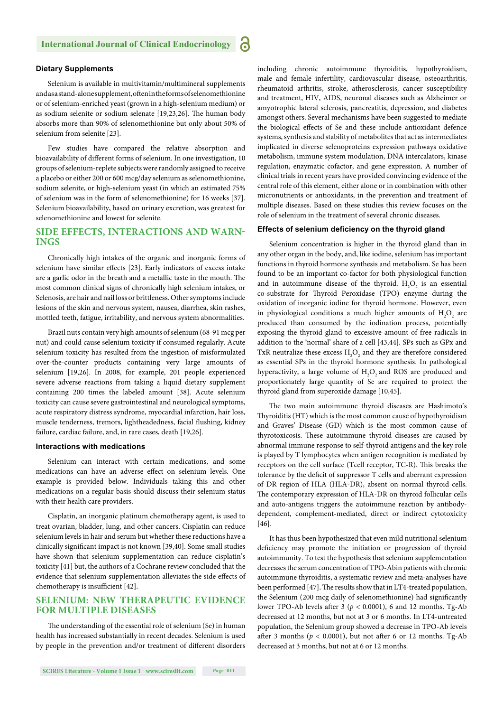#### **Dietary Supplements**

Selenium is available in multivitamin/multimineral supplements and as a stand-alone supplement, often in the forms of selenomethionine or of selenium-enriched yeast (grown in a high-selenium medium) or as sodium selenite or sodium selenate [19,23,26]. The human body absorbs more than 90% of selenomethionine but only about 50% of selenium from selenite [23].

Few studies have compared the relative absorption and bioavailability of different forms of selenium. In one investigation, 10 groups of selenium-replete subjects were randomly assigned to receive a placebo or either 200 or 600 mcg/day selenium as selenomethionine, sodium selenite, or high-selenium yeast (in which an estimated 75% of selenium was in the form of selenomethionine) for 16 weeks [37]. Selenium bioavailability, based on urinary excretion, was greatest for selenomethionine and lowest for selenite.

#### **SIDE EFFECTS, INTERACTIONS AND WARN-INGS**

Chronically high intakes of the organic and inorganic forms of selenium have similar effects [23]. Early indicators of excess intake are a garlic odor in the breath and a metallic taste in the mouth. The most common clinical signs of chronically high selenium intakes, or Selenosis, are hair and nail loss or brittleness. Other symptoms include lesions of the skin and nervous system, nausea, diarrhea, skin rashes, mottled teeth, fatigue, irritability, and nervous system abnormalities.

Brazil nuts contain very high amounts of selenium (68-91 mcg per nut) and could cause selenium toxicity if consumed regularly. Acute selenium toxicity has resulted from the ingestion of misformulated over-the-counter products containing very large amounts of selenium [19,26]. In 2008, for example, 201 people experienced severe adverse reactions from taking a liquid dietary supplement containing 200 times the labeled amount [38]. Acute selenium toxicity can cause severe gastrointestinal and neurological symptoms, acute respiratory distress syndrome, myocardial infarction, hair loss, muscle tenderness, tremors, lightheadedness, facial flushing, kidney failure, cardiac failure, and, in rare cases, death [19,26].

#### **Interactions with medications**

Selenium can interact with certain medications, and some medications can have an adverse effect on selenium levels. One example is provided below. Individuals taking this and other medications on a regular basis should discuss their selenium status with their health care providers.

Cisplatin, an inorganic platinum chemotherapy agent, is used to treat ovarian, bladder, lung, and other cancers. Cisplatin can reduce selenium levels in hair and serum but whether these reductions have a clinically significant impact is not known [39,40]. Some small studies have shown that selenium supplementation can reduce cisplatin's toxicity [41] but, the authors of a Cochrane review concluded that the evidence that selenium supplementation alleviates the side effects of chemotherapy is insufficient [42].

#### **SELENIUM: NEW THERAPEUTIC EVIDENCE FOR MULTIPLE DISEASES**

The understanding of the essential role of selenium (Se) in human health has increased substantially in recent decades. Selenium is used by people in the prevention and/or treatment of different disorders including chronic autoimmune thyroiditis, hypothyroidism, male and female infertility, cardiovascular disease, osteoarthritis, rheumatoid arthritis, stroke, atherosclerosis, cancer susceptibility and treatment, HIV, AIDS, neuronal diseases such as Alzheimer or amyotrophic lateral sclerosis, pancreatitis, depression, and diabetes amongst others. Several mechanisms have been suggested to mediate the biological effects of Se and these include antioxidant defence systems, synthesis and stability of metabolites that act as intermediates implicated in diverse selenoproteins expression pathways oxidative metabolism, immune system modulation, DNA intercalators, kinase regulation, enzymatic cofactor, and gene expression. A number of clinical trials in recent years have provided convincing evidence of the central role of this element, either alone or in combination with other micronutrients or antioxidants, in the prevention and treatment of multiple diseases. Based on these studies this review focuses on the role of selenium in the treatment of several chronic diseases.

#### **Effects of selenium deficiency on the thyroid gland**

Selenium concentration is higher in the thyroid gland than in any other organ in the body, and, like iodine, selenium has important functions in thyroid hormone synthesis and metabolism. Se has been found to be an important co-factor for both physiological function and in autoimmune disease of the thyroid.  $H_2O_2$  is an essential co-substrate for Thyroid Peroxidase (TPO) enzyme during the oxidation of inorganic iodine for thyroid hormone. However, even in physiological conditions a much higher amounts of  $H_2O_2$  are produced than consumed by the iodination process, potentially exposing the thyroid gland to excessive amount of free radicals in addition to the 'normal' share of a cell [43,44]. SPs such as GPx and TxR neutralize these excess  $\rm{H}_{2}\rm{O}_{2}$  and they are therefore considered as essential SPs in the thyroid hormone synthesis. In pathological hyperactivity, a large volume of  $H_2O_2$  and ROS are produced and proportionately large quantity of Se are required to protect the thyroid gland from superoxide damage [10,45].

The two main autoimmune thyroid diseases are Hashimoto's Thyroiditis (HT) which is the most common cause of hypothyroidism and Graves' Disease (GD) which is the most common cause of thyrotoxicosis. These autoimmune thyroid diseases are caused by abnormal immune response to self-thyroid antigens and the key role is played by T lymphocytes when antigen recognition is mediated by receptors on the cell surface (Tcell receptor, TC-R). This breaks the tolerance by the deficit of suppressor T cells and aberrant expression of DR region of HLA (HLA-DR), absent on normal thyroid cells. The contemporary expression of HLA-DR on thyroid follicular cells and auto-antigens triggers the autoimmune reaction by antibodydependent, complement-mediated, direct or indirect cytotoxicity [46].

It has thus been hypothesized that even mild nutritional selenium deficiency may promote the initiation or progression of thyroid autoimmunity. To test the hypothesis that selenium supplementation decreases the serum concentration of TPO-Abin patients with chronic autoimmune thyroiditis, a systematic review and meta-analyses have been performed [47]. The results show that in LT4-treated population, the Selenium (200 mcg daily of selenomethionine) had significantly lower TPO-Ab levels after  $3 (p < 0.0001)$ , 6 and 12 months. Tg-Ab decreased at 12 months, but not at 3 or 6 months. In LT4-untreated population, the Selenium group showed a decrease in TPO-Ab levels after 3 months ( $p < 0.0001$ ), but not after 6 or 12 months. Tg-Ab decreased at 3 months, but not at 6 or 12 months.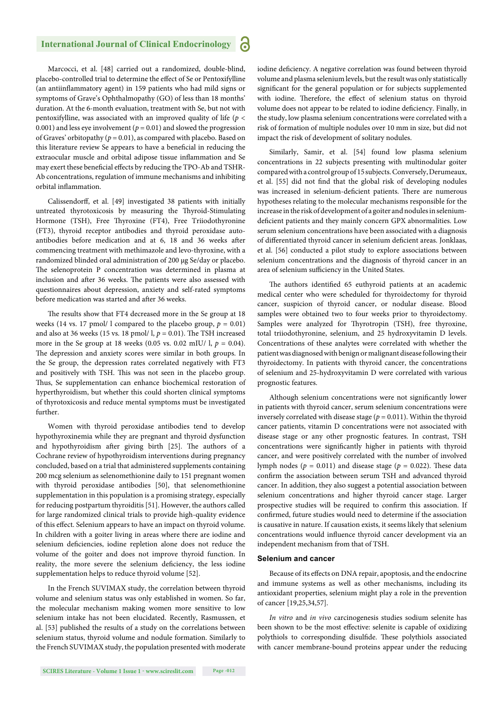Marcocci, et al. [48] carried out a randomized, double-blind, placebo-controlled trial to determine the effect of Se or Pentoxifylline (an antiinflammatory agent) in 159 patients who had mild signs or symptoms of Grave's Ophthalmopathy (GO) of less than 18 months' duration. At the 6-month evaluation, treatment with Se, but not with pentoxifylline, was associated with an improved quality of life (*p* < 0.001) and less eye involvement ( $p = 0.01$ ) and slowed the progression of Graves' orbitopathy ( $p = 0.01$ ), as compared with placebo. Based on this literature review Se appears to have a beneficial in reducing the extraocular muscle and orbital adipose tissue inflammation and Se may exert these beneficial effects by reducing the TPO-Ab and TSHR-Ab concentrations, regulation of immune mechanisms and inhibiting orbital inflammation.

Calissendorff, et al. [49] investigated 38 patients with initially untreated thyrotoxicosis by measuring the Thyroid-Stimulating Hormone (TSH), Free Thyroxine (FT4), Free Triiodothyronine (FT3), thyroid receptor antibodies and thyroid peroxidase autoantibodies before medication and at 6, 18 and 36 weeks after commencing treatment with methimazole and levo-thyroxine, with a randomized blinded oral administration of 200 μg Se/day or placebo. The selenoprotein P concentration was determined in plasma at inclusion and after 36 weeks. The patients were also assessed with questionnaires about depression, anxiety and self-rated symptoms before medication was started and after 36 weeks.

The results show that FT4 decreased more in the Se group at 18 weeks (14 vs. 17 pmol/ l compared to the placebo group,  $p = 0.01$ ) and also at 36 weeks (15 vs. 18 pmol/ l,  $p = 0.01$ ). The TSH increased more in the Se group at 18 weeks (0.05 vs. 0.02 mIU/ l,  $p = 0.04$ ). The depression and anxiety scores were similar in both groups. In the Se group, the depression rates correlated negatively with FT3 and positively with TSH. This was not seen in the placebo group. Thus, Se supplementation can enhance biochemical restoration of hyperthyroidism, but whether this could shorten clinical symptoms of thyrotoxicosis and reduce mental symptoms must be investigated further.

Women with thyroid peroxidase antibodies tend to develop hypothyroxinemia while they are pregnant and thyroid dysfunction and hypothyroidism after giving birth [25]. The authors of a Cochrane review of hypothyroidism interventions during pregnancy concluded, based on a trial that administered supplements containing 200 mcg selenium as selenomethionine daily to 151 pregnant women with thyroid peroxidase antibodies [50], that selenomethionine supplementation in this population is a promising strategy, especially for reducing postpartum thyroiditis [51]. However, the authors called for large randomized clinical trials to provide high-quality evidence of this effect. Selenium appears to have an impact on thyroid volume. In children with a goiter living in areas where there are iodine and selenium deficiencies, iodine repletion alone does not reduce the volume of the goiter and does not improve thyroid function. In reality, the more severe the selenium deficiency, the less iodine supplementation helps to reduce thyroid volume [52].

In the French SUVIMAX study, the correlation between thyroid volume and selenium status was only established in women. So far, the molecular mechanism making women more sensitive to low selenium intake has not been elucidated. Recently, Rasmussen, et al. [53] published the results of a study on the correlations between selenium status, thyroid volume and nodule formation. Similarly to the French SUVIMAX study, the population presented with moderate iodine deficiency. A negative correlation was found between thyroid volume and plasma selenium levels, but the result was only statistically significant for the general population or for subjects supplemented with iodine. Therefore, the effect of selenium status on thyroid volume does not appear to be related to iodine deficiency. Finally, in the study, low plasma selenium concentrations were correlated with a risk of formation of multiple nodules over 10 mm in size, but did not impact the risk of development of solitary nodules.

Similarly, Samir, et al. [54] found low plasma selenium concentrations in 22 subjects presenting with multinodular goiter compared with a control group of 15 subjects. Conversely, Derumeaux, et al. [55] did not find that the global risk of developing nodules was increased in selenium-deficient patients. There are numerous hypotheses relating to the molecular mechanisms responsible for the increase in the risk of development of a goiter and nodules in seleniumdeficient patients and they mainly concern GPX abnormalities. Low serum selenium concentrations have been associated with a diagnosis of differentiated thyroid cancer in selenium deficient areas. Jonklaas, et al. [56] conducted a pilot study to explore associations between selenium concentrations and the diagnosis of thyroid cancer in an area of selenium sufficiency in the United States.

The authors identified 65 euthyroid patients at an academic medical center who were scheduled for thyroidectomy for thyroid cancer, suspicion of thyroid cancer, or nodular disease. Blood samples were obtained two to four weeks prior to thyroidectomy. Samples were analyzed for Thyrotropin (TSH), free thyroxine, total triiodothyronine, selenium, and 25 hydroxyvitamin D levels. Concentrations of these analytes were correlated with whether the patient was diagnosed with benign or malignant disease following their thyroidectomy. In patients with thyroid cancer, the concentrations of selenium and 25-hydroxyvitamin D were correlated with various prognostic features.

Although selenium concentrations were not significantly lower in patients with thyroid cancer, serum selenium concentrations were inversely correlated with disease stage ( $p = 0.011$ ). Within the thyroid cancer patients, vitamin D concentrations were not associated with disease stage or any other prognostic features. In contrast, TSH concentrations were significantly higher in patients with thyroid cancer, and were positively correlated with the number of involved lymph nodes ( $p = 0.011$ ) and disease stage ( $p = 0.022$ ). These data confirm the association between serum TSH and advanced thyroid cancer. In addition, they also suggest a potential association between selenium concentrations and higher thyroid cancer stage. Larger prospective studies will be required to confirm this association. If confirmed, future studies would need to determine if the association is causative in nature. If causation exists, it seems likely that selenium concentrations would influence thyroid cancer development via an independent mechanism from that of TSH.

#### **Selenium and cancer**

Because of its effects on DNA repair, apoptosis, and the endocrine and immune systems as well as other mechanisms, including its antioxidant properties, selenium might play a role in the prevention of cancer [19,25,34,57].

*In vitro* and *in vivo* carcinogenesis studies sodium selenite has been shown to be the most effective: selenite is capable of oxidizing polythiols to corresponding disulfide. These polythiols associated with cancer membrane-bound proteins appear under the reducing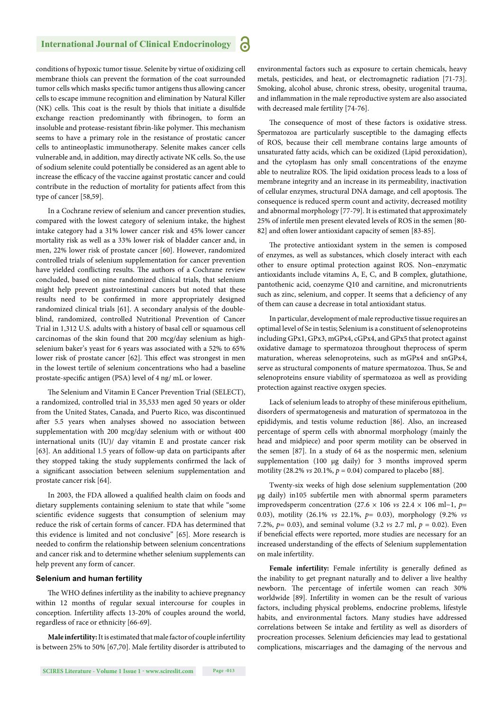conditions of hypoxic tumor tissue. Selenite by virtue of oxidizing cell membrane thiols can prevent the formation of the coat surrounded tumor cells which masks specific tumor antigens thus allowing cancer cells to escape immune recognition and elimination by Natural Killer (NK) cells. This coat is the result by thiols that initiate a disulfide exchange reaction predominantly with fibrinogen, to form an insoluble and protease-resistant fibrin-like polymer. This mechanism seems to have a primary role in the resistance of prostatic cancer cells to antineoplastic immunotherapy. Selenite makes cancer cells vulnerable and, in addition, may directly activate NK cells. So, the use of sodium selenite could potentially be considered as an agent able to increase the efficacy of the vaccine against prostatic cancer and could contribute in the reduction of mortality for patients affect from this type of cancer [58,59].

In a Cochrane review of selenium and cancer prevention studies, compared with the lowest category of selenium intake, the highest intake category had a 31% lower cancer risk and 45% lower cancer mortality risk as well as a 33% lower risk of bladder cancer and, in men, 22% lower risk of prostate cancer [60]. However, randomized controlled trials of selenium supplementation for cancer prevention have yielded conflicting results. The authors of a Cochrane review concluded, based on nine randomized clinical trials, that selenium might help prevent gastrointestinal cancers but noted that these results need to be confirmed in more appropriately designed randomized clinical trials [61]. A secondary analysis of the doubleblind, randomized, controlled Nutritional Prevention of Cancer Trial in 1,312 U.S. adults with a history of basal cell or squamous cell carcinomas of the skin found that 200 mcg/day selenium as highselenium baker's yeast for 6 years was associated with a 52% to 65% lower risk of prostate cancer [62]. This effect was strongest in men in the lowest tertile of selenium concentrations who had a baseline prostate-specific antigen (PSA) level of 4 ng/ mL or lower.

The Selenium and Vitamin E Cancer Prevention Trial (SELECT), a randomized, controlled trial in 35,533 men aged 50 years or older from the United States, Canada, and Puerto Rico, was discontinued after 5.5 years when analyses showed no association between supplementation with 200 mcg/day selenium with or without 400 international units (IU)/ day vitamin E and prostate cancer risk [63]. An additional 1.5 years of follow-up data on participants after they stopped taking the study supplements confirmed the lack of a significant association between selenium supplementation and prostate cancer risk [64].

In 2003, the FDA allowed a qualified health claim on foods and dietary supplements containing selenium to state that while "some scientific evidence suggests that consumption of selenium may reduce the risk of certain forms of cancer. FDA has determined that this evidence is limited and not conclusive" [65]. More research is needed to confirm the relationship between selenium concentrations and cancer risk and to determine whether selenium supplements can help prevent any form of cancer.

#### **Selenium and human fertility**

The WHO defines infertility as the inability to achieve pregnancy within 12 months of regular sexual intercourse for couples in conception. Infertility affects 13-20% of couples around the world, regardless of race or ethnicity [66-69].

**Male infertility:** It is estimated that male factor of couple infertility is between 25% to 50% [67,70]. Male fertility disorder is attributed to environmental factors such as exposure to certain chemicals, heavy metals, pesticides, and heat, or electromagnetic radiation [71-73]. Smoking, alcohol abuse, chronic stress, obesity, urogenital trauma, and inflammation in the male reproductive system are also associated with decreased male fertility [74-76].

The consequence of most of these factors is oxidative stress. Spermatozoa are particularly susceptible to the damaging effects of ROS, because their cell membrane contains large amounts of unsaturated fatty acids, which can be oxidized (Lipid peroxidation), and the cytoplasm has only small concentrations of the enzyme able to neutralize ROS. The lipid oxidation process leads to a loss of membrane integrity and an increase in its permeability, inactivation of cellular enzymes, structural DNA damage, and cell apoptosis. The consequence is reduced sperm count and activity, decreased motility and abnormal morphology [77-79]. It is estimated that approximately 25% of infertile men present elevated levels of ROS in the semen [80- 82] and often lower antioxidant capacity of semen [83-85].

The protective antioxidant system in the semen is composed of enzymes, as well as substances, which closely interact with each other to ensure optimal protection against ROS. Non–enzymatic antioxidants include vitamins A, E, C, and B complex, glutathione, pantothenic acid, coenzyme Q10 and carnitine, and micronutrients such as zinc, selenium, and copper. It seems that a deficiency of any of them can cause a decrease in total antioxidant status.

In particular, development of male reproductive tissue requires an optimal level of Se in testis; Selenium is a constituent of selenoproteins including GPx1, GPx3, mGPx4, cGPx4, and GPx5 that protect against oxidative damage to spermatozoa throughout theprocess of sperm maturation, whereas selenoproteins, such as mGPx4 and snGPx4, serve as structural components of mature spermatozoa. Thus, Se and selenoproteins ensure viability of spermatozoa as well as providing protection against reactive oxygen species.

Lack of selenium leads to atrophy of these miniferous epithelium, disorders of spermatogenesis and maturation of spermatozoa in the epididymis, and testis volume reduction [86]. Also, an increased percentage of sperm cells with abnormal morphology (mainly the head and midpiece) and poor sperm motility can be observed in the semen [87]. In a study of 64 as the nospermic men, selenium supplementation (100 μg daily) for 3 months improved sperm motility (28.2% *vs* 20.1%, *p* = 0.04) compared to placebo [88].

Twenty-six weeks of high dose selenium supplementation (200 μg daily) in105 subfertile men with abnormal sperm parameters improvedsperm concentration (27.6 × 106 *vs* 22.4 × 106 ml−1, *p*= 0.03), motility (26.1% *vs* 22.1%, *p*= 0.03), morphology (9.2% *vs*  7.2%, *p*= 0.03), and seminal volume (3.2 *vs* 2.7 ml, *p* = 0.02). Even if beneficial effects were reported, more studies are necessary for an increased understanding of the effects of Selenium supplementation on male infertility.

Female infertility: Female infertility is generally defined as the inability to get pregnant naturally and to deliver a live healthy newborn. The percentage of infertile women can reach 30% worldwide [89]. Infertility in women can be the result of various factors, including physical problems, endocrine problems, lifestyle habits, and environmental factors. Many studies have addressed correlations between Se intake and fertility as well as disorders of procreation processes. Selenium deficiencies may lead to gestational complications, miscarriages and the damaging of the nervous and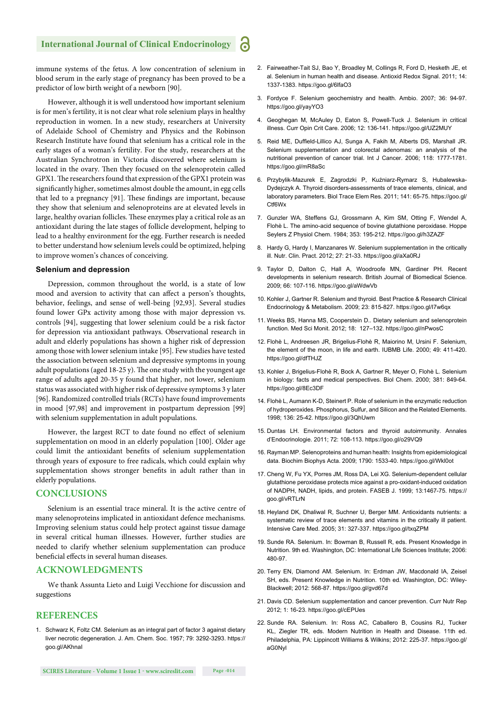immune systems of the fetus. A low concentration of selenium in blood serum in the early stage of pregnancy has been proved to be a predictor of low birth weight of a newborn [90].

However, although it is well understood how important selenium is for men's fertility, it is not clear what role selenium plays in healthy reproduction in women. In a new study, researchers at University of Adelaide School of Chemistry and Physics and the Robinson Research Institute have found that selenium has a critical role in the early stages of a woman's fertility. For the study, researchers at the Australian Synchrotron in Victoria discovered where selenium is located in the ovary. Then they focused on the selenoprotein called GPX1. The researchers found that expression of the GPX1 protein was significantly higher, sometimes almost double the amount, in egg cells that led to a pregnancy [91]. These findings are important, because they show that selenium and selenoproteins are at elevated levels in large, healthy ovarian follicles. These enzymes play a critical role as an antioxidant during the late stages of follicle development, helping to lead to a healthy environment for the egg. Further research is needed to better understand how selenium levels could be optimized, helping to improve women's chances of conceiving.

#### **Selenium and depression**

Depression, common throughout the world, is a state of low mood and aversion to activity that can affect a person's thoughts, behavior, feelings, and sense of well-being [92,93]. Several studies found lower GPx activity among those with major depression vs. controls [94], suggesting that lower selenium could be a risk factor for depression via antioxidant pathways. Observational research in adult and elderly populations has shown a higher risk of depression among those with lower selenium intake [95]. Few studies have tested the association between selenium and depressive symptoms in young adult populations (aged  $18-25$  y). The one study with the youngest age range of adults aged 20-35 y found that higher, not lower, selenium status was associated with higher risk of depressive symptoms 3 y later [96]. Randomized controlled trials (RCTs) have found improvements in mood [97,98] and improvement in postpartum depression [99] with selenium supplementation in adult populations.

However, the largest RCT to date found no effect of selenium supplementation on mood in an elderly population [100]. Older age could limit the antioxidant benefits of selenium supplementation through years of exposure to free radicals, which could explain why supplementation shows stronger benefits in adult rather than in elderly populations.

#### **CONCLUSIONS**

Selenium is an essential trace mineral. It is the active centre of many selenoproteins implicated in antioxidant defence mechanisms. Improving selenium status could help protect against tissue damage in several critical human illnesses. However, further studies are needed to clarify whether selenium supplementation can produce beneficial effects in several human diseases.

#### **ACKNOWLEDGMENTS**

We thank Assunta Lieto and Luigi Vecchione for discussion and suggestions

#### **REFERENCES**

1. Schwarz K, Foltz CM. Selenium as an integral part of factor 3 against dietary liver necrotic degeneration. J. Am. Chem. Soc. 1957; 79: 3292-3293. https:// goo.gl/AKhnaI

- 2. Fairweather-Tait SJ, Bao Y, Broadley M, Collings R, Ford D, Hesketh JE, et al. Selenium in human health and disease. Antioxid Redox Signal. 2011; 14: 1337-1383. https://goo.gl/6lfaO3
- 3. Fordyce F. Selenium geochemistry and health. Ambio. 2007; 36: 94-97. https://goo.gl/yayYO3
- 4. Geoghegan M, McAuley D, Eaton S, Powell-Tuck J. Selenium in critical illness. Curr Opin Crit Care. 2006; 12: 136-141. https://goo.gl/UZ2MUY
- 5. Reid ME, Duffield-Lillico AJ, Sunga A, Fakih M, Alberts DS, Marshall JR. Selenium supplementation and colorectal adenomas: an analysis of the nutritional prevention of cancer trial. Int J Cancer. 2006; 118: 1777-1781. https://goo.gl/mR8aSc
- 6. Przybylik-Mazurek E, Zagrodzki P, Kuźniarz-Rymarz S, Hubalewska-Dydejczyk A. Thyroid disorders-assessments of trace elements, clinical, and laboratory parameters. Biol Trace Elem Res. 2011; 141: 65-75. https://goo.gl/ **Ctf<sub>6</sub>W**x
- 7. Gunzler WA, Steffens GJ, Grossmann A, Kim SM, Otting F, Wendel A, Flohè L. The amino-acid sequence of bovine glutathione peroxidase. Hoppe Seylers Z Physiol Chem. 1984; 353: 195-212. https://goo.gl/h3ZAZF
- 8. Hardy G, Hardy I, Manzanares W. Selenium supplementation in the critically ill. Nutr. Clin. Pract. 2012; 27: 21-33. https://goo.gl/aXa0RJ
- 9. Taylor D, Dalton C, Hall A, Woodroofe MN, Gardiner PH. Recent developments in selenium research. British Journal of Biomedical Science. 2009; 66: 107-116. https://goo.gl/aWdwVb
- 10. Kohler J, Gartner R. Selenium and thyroid. Best Practice & Research Clinical Endocrinology & Metabolism. 2009; 23: 815-827. https://goo.gl/I7w6qx
- 11. Weeks BS, Hanna MS, Cooperstein D.. Dietary selenium and selenoprotein function. Med Sci Monit. 2012; 18: 127–132. https://goo.gl/nPwosC
- 12. Flohè L, Andreesen JR, Brigelius-Flohè R, Maiorino M, Ursini F. Selenium, the element of the moon, in life and earth. IUBMB Life. 2000; 49: 411-420. https://goo.gl/dfTHJZ
- 13. Kohler J, Brigelius-Flohè R, Bock A, Gartner R, Meyer O, Flohè L. Selenium in biology: facts and medical perspectives. Biol Chem. 2000; 381: 849-64. https://goo.gl/8Ec3DF
- 14. Flohè L, Aumann K-D, Steinert P. Role of selenium in the enzymatic reduction of hydroperoxides. Phosphorus, Sulfur, and Silicon and the Related Elements. 1998; 136: 25-42. https://goo.gl/3QhUwm
- 15. Duntas LH. Environmental factors and thyroid autoimmunity. Annales d'Endocrinologie. 2011; 72: 108-113. https://goo.gl/o29VQ9
- 16. Rayman MP. Selenoproteins and human health: Insights from epidemiological data. Biochim Biophys Acta. 2009; 1790: 1533-40. https://goo.gl/Wkl0ot
- 17. Cheng W, Fu YX, Porres JM, Ross DA, Lei XG. Selenium-dependent cellular glutathione peroxidase protects mice against a pro-oxidant-induced oxidation of NADPH, NADH, lipids, and protein. FASEB J. 1999; 13:1467-75. https:// goo.gl/vRTLrN
- 18. Heyland DK, Dhaliwal R, Suchner U, Berger MM. Antioxidants nutrients: a systematic review of trace elements and vitamins in the critically ill patient. Intensive Care Med. 2005; 31: 327-337. https://goo.gl/txqZPM
- 19. Sunde RA. Selenium. In: Bowman B, Russell R, eds. Present Knowledge in Nutrition. 9th ed. Washington, DC: International Life Sciences Institute; 2006: 480-97.
- 20. Terry EN, Diamond AM. Selenium. In: Erdman JW, Macdonald IA, Zeisel SH, eds. Present Knowledge in Nutrition. 10th ed. Washington, DC: Wiley-Blackwell; 2012: 568-87. https://goo.gl/gvd67d
- 21. Davis CD. Selenium supplementation and cancer prevention. Curr Nutr Rep 2012; 1: 16-23. https://goo.gl/cEPUes
- 22. Sunde RA. Selenium. In: Ross AC, Caballero B, Cousins RJ, Tucker KL, Ziegler TR, eds. Modern Nutrition in Health and Disease. 11th ed. Philadelphia, PA: Lippincott Williams & Wilkins; 2012: 225-37. https://goo.gl/ aG0Nyl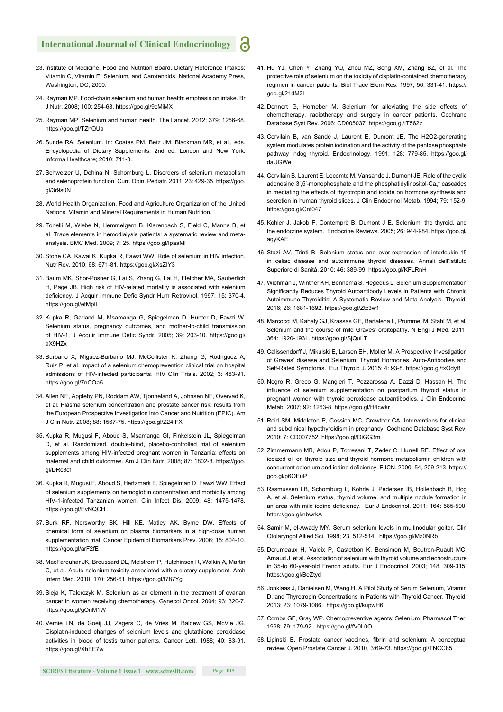- 23. Institute of Medicine, Food and Nutrition Board. Dietary Reference Intakes: Vitamin C, Vitamin E, Selenium, and Carotenoids. National Academy Press, Washington, DC, 2000.
- 24. Rayman MP. Food-chain selenium and human health: emphasis on intake. Br J Nutr. 2008; 100: 254-68. https://goo.gl/9cMiMX
- 25. Rayman MP. Selenium and human health. The Lancet. 2012; 379: 1256-68. https://goo.gl/TZhQUa
- 26. Sunde RA. Selenium. In: Coates PM, Betz JM, Blackman MR, et al., eds. Encyclopedia of Dietary Supplements. 2nd ed. London and New York: Informa Healthcare; 2010: 711-8.
- 27. Schweizer U, Dehina N, Schomburg L. Disorders of selenium metabolism and selenoprotein function. Curr. Opin. Pediatr. 2011; 23: 429-35. https://goo. gl/3r9s0N
- 28. World Health Organization, Food and Agriculture Organization of the United Nations. Vitamin and Mineral Requirements in Human Nutrition.
- 29. Tonelli M, Wiebe N, Hemmelgarn B, Klarenbach S, Field C, Manns B, et al. Trace elements in hemodialysis patients: a systematic review and metaanalysis. BMC Med. 2009; 7: 25. https://goo.gl/IpaaMl
- 30. Stone CA, Kawai K, Kupka R, Fawzi WW. Role of selenium in HIV infection. Nutr Rev. 2010; 68: 671-81. https://goo.gl/XsZIY3
- 31. Baum MK, Shor-Posner G, Lai S, Zhang G, Lai H, Fletcher MA, Sauberlich H, Page JB. High risk of HIV-related mortality is associated with selenium deficiency. J Acquir Immune Defic Syndr Hum Retrovirol. 1997; 15: 370-4. https://goo.gl/etMpIl
- 32. Kupka R, Garland M, Msamanga G, Spiegelman D, Hunter D, Fawzi W. Selenium status, pregnancy outcomes, and mother-to-child transmission of HIV-1. J Acquir Immune Defic Syndr. 2005; 39: 203-10. https://goo.gl/ aX9HZx
- 33. Burbano X, Miguez-Burbano MJ, McCollister K, Zhang G, Rodriguez A, Ruiz P, et al. Impact of a selenium chemoprevention clinical trial on hospital admissions of HIV-infected participants. HIV Clin Trials. 2002; 3: 483-91. https://goo.gl/7nCOa5
- 34. Allen NE, Appleby PN, Roddam AW, Tjonneland A, Johnsen NF, Overvad K, et al. Plasma selenium concentration and prostate cancer risk: results from the European Prospective Investigation into Cancer and Nutrition (EPIC). Am J Clin Nutr. 2008; 88: 1567-75. https://goo.gl/Z24IFX
- 35. Kupka R, Mugusi F, Aboud S, Msamanga GI, Finkelstein JL, Spiegelman D, et al. Randomized, double-blind, placebo-controlled trial of selenium supplements among HIV-infected pregnant women in Tanzania: effects on maternal and child outcomes. Am J Clin Nutr. 2008; 87: 1802-8. https://goo. gl/DRc3cf
- 36. Kupka R, Mugusi F, Aboud S, Hertzmark E, Spiegelman D, Fawzi WW. Effect of selenium supplements on hemoglobin concentration and morbidity among HIV-1-infected Tanzanian women. Clin Infect Dis. 2009; 48: 1475-1478. https://goo.gl/EvNQCH
- 37. Burk RF, Norsworthy BK, Hill KE, Motley AK, Byrne DW. Effects of chemical form of selenium on plasma biomarkers in a high-dose human supplementation trial. Cancer Epidemiol Biomarkers Prev. 2006; 15: 804-10. https://goo.gl/arF2fE
- 38. MacFarquhar JK, Broussard DL, Melstrom P, Hutchinson R, Wolkin A, Martin C, et al. Acute selenium toxicity associated with a dietary supplement. Arch Intern Med. 2010; 170: 256-61. https://goo.gl/t787Yg
- 39. Sieja K, Talerczyk M. Selenium as an element in the treatment of ovarian cancer in women receiving chemotherapy. Gynecol Oncol. 2004; 93: 320-7. https://goo.gl/gOnM1W
- 40. Vernie LN, de Goeij JJ, Zegers C, de Vries M, Baldew GS, McVie JG. Cisplatin-induced changes of selenium levels and glutathione peroxidase activities in blood of testis tumor patients. Cancer Lett. 1988; 40: 83-91. https://goo.gl/XhEE7w
- 41. Hu YJ, Chen Y, Zhang YQ, Zhou MZ, Song XM, Zhang BZ, et al. The protective role of selenium on the toxicity of cisplatin-contained chemotherapy regimen in cancer patients. Biol Trace Elem Res. 1997; 56: 331-41. https:// goo.gl/21dM2l
- 42. Dennert G, Horneber M. Selenium for alleviating the side effects of chemotherapy, radiotherapy and surgery in cancer patients. Cochrane Database Syst Rev. 2006: CD005037. https://goo.gl/IT562z
- 43. Corvilain B, van Sande J, Laurent E, Dumont JE. The H2O2-generating system modulates protein iodination and the activity of the pentose phosphate pathway indog thyroid. Endocrinology. 1991; 128: 779-85. https://goo.gl/ daUGWe
- 44. Corvilain B, Laurent E, Lecomte M, Vansande J, Dumont JE. Role of the cyclic adenosine 3',5'-monophosphate and the phosphatidylinositol-Ca<sub>2</sub><sup>+</sup> cascades in mediating the effects of thyrotropin and iodide on hormone synthesis and secretion in human thyroid slices. J Clin Endocrinol Metab. 1994; 79: 152-9. https://goo.gl/Cnt047
- 45. Kohler J, Jakob F, Contemprè B, Dumont J E. Selenium, the thyroid, and the endocrine system. Endocrine Reviews. 2005; 26: 944-984. https://goo.gl/ aqyKAE
- 46. Stazi AV, Trinti B. Selenium status and over-expression of interleukin-15 in celiac disease and autoimmune thyroid diseases. Annali dell'Istituto Superiore di Sanità. 2010; 46: 389-99. https://goo.gl/KFLRnH
- 47. Wichman J, Winther KH, Bonnema S, Hegedüs L. Selenium Supplementation Significantly Reduces Thyroid Autoantibody Levels in Patients with Chronic Autoimmune Thyroiditis: A Systematic Review and Meta-Analysis. Thyroid. 2016; 26: 1681-1692. https://goo.gl/Ztc3w1
- 48. Marcocci M, Kahaly GJ, Krassas GE, Bartalena L, Prummel M, Stahl M, et al. Selenium and the course of mild Graves' orbitopathy. N Engl J Med. 2011; 364: 1920-1931. https://goo.gl/SjQuLT
- 49. Calissendorff J, Mikulski E, Larsen EH, Moller M. A Prospective Investigation of Graves' disease and Selenium: Thyroid Hormones, Auto-Antibodies and Self-Rated Symptoms. Eur Thyroid J. 2015; 4: 93-8. https://goo.gl/txOdyB
- 50. Negro R, Greco G, Mangieri T, Pezzarossa A, Dazzi D, Hassan H. The influence of selenium supplementation on postpartum thyroid status in pregnant women with thyroid peroxidase autoantibodies. J Clin Endocrinol Metab. 2007; 92: 1263-8. https://goo.gl/H4cwkr
- 51. Reid SM, Middleton P, Cossich MC, Crowther CA. Interventions for clinical and subclinical hypothyroidism in pregnancy. Cochrane Database Syst Rev. 2010; 7: CD007752. https://goo.gl/OiGG3m
- 52. Zimmermann MB, Adou P, Torresani T, Zeder C, Hurrell RF. Effect of oral iodized oil on thyroid size and thyroid hormone metabolismin children with concurrent selenium and iodine deficiency. EJCN. 2000; 54, 209-213. https:// goo.gl/p6OEuP
- 53. Rasmussen LB, Schomburg L, Kohrle J, Pedersen IB, Hollenbach B, Hog A, et al. Selenium status, thyroid volume, and multiple nodule formation in an area with mild iodine deficiency. Eur J Endocrinol. 2011; 164: 585-590. https://goo.gl/nbwrkA
- 54. Samir M, el-Awady MY. Serum selenium levels in multinodular goiter. Clin Otolaryngol Allied Sci. 1998; 23, 512-514. https://goo.gl/Mz0NRb
- 55. Derumeaux H, Valeix P, Castetbon K, Bensimon M, Boutron-Ruault MC, Arnaud J, et al. Association of selenium with thyroid volume and echostructure in 35-to 60-year-old French adults. Eur J Endocrinol. 2003; 148, 309-315. https://goo.gl/BeZtyd
- 56. Jonklaas J, Danielsen M, Wang H. A Pilot Study of Serum Selenium, Vitamin D, and Thyrotropin Concentrations in Patients with Thyroid Cancer. Thyroid. 2013; 23: 1079-1086. https://goo.gl/kupwH6
- 57. Combs GF, Gray WP. Chemopreventive agents: Selenium. Pharmacol Ther. 1998; 79: 179-92. https://goo.gl/fV0L0O
- 58. Lipinski B. Prostate cancer vaccines, fibrin and selenium: A conceptual review. Open Prostate Cancer J. 2010, 3:69-73. https://goo.gl/TNCC85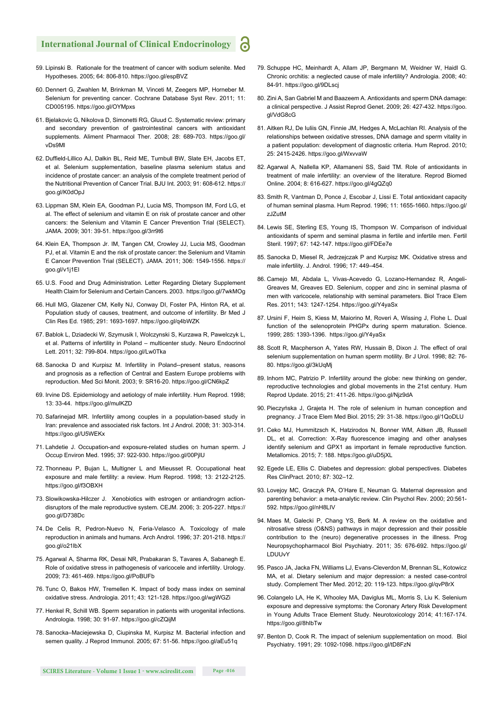- 59. Lipinski B. Rationale for the treatment of cancer with sodium selenite. Med Hypotheses. 2005; 64: 806-810. https://goo.gl/espBVZ
- 60. Dennert G, Zwahlen M, Brinkman M, Vinceti M, Zeegers MP, Horneber M. Selenium for preventing cancer. Cochrane Database Syst Rev. 2011; 11: CD005195. https://goo.gl/OYMpxs
- 61. Bjelakovic G, Nikolova D, Simonetti RG, Gluud C. Systematic review: primary and secondary prevention of gastrointestinal cancers with antioxidant supplements. Aliment Pharmacol Ther. 2008; 28: 689-703. https://goo.gl/ vDs9Ml
- 62. Duffield-Lillico AJ, Dalkin BL, Reid ME, Turnbull BW, Slate EH, Jacobs ET, et al. Selenium supplementation, baseline plasma selenium status and incidence of prostate cancer: an analysis of the complete treatment period of the Nutritional Prevention of Cancer Trial. BJU Int. 2003; 91: 608-612. https:// goo.gl/K0dOpJ
- 63. Lippman SM, Klein EA, Goodman PJ, Lucia MS, Thompson IM, Ford LG, et al. The effect of selenium and vitamin E on risk of prostate cancer and other cancers: the Selenium and Vitamin E Cancer Prevention Trial (SELECT). JAMA. 2009; 301: 39-51. https://goo.gl/3rr9t6
- 64. Klein EA, Thompson Jr. IM, Tangen CM, Crowley JJ, Lucia MS, Goodman PJ, et al. Vitamin E and the risk of prostate cancer: the Selenium and Vitamin E Cancer Prevention Trial (SELECT). JAMA. 2011; 306: 1549-1556. https:// goo.gl/v1j1El
- 65. U.S. Food and Drug Administration. Letter Regarding Dietary Supplement Health Claim for Selenium and Certain Cancers. 2003. https://goo.gl/7wkMOg
- 66. Hull MG, Glazener CM, Kelly NJ, Conway DI, Foster PA, Hinton RA, et al. Population study of causes, treatment, and outcome of infertility. Br Med J Clin Res Ed. 1985; 291: 1693-1697. https://goo.gl/q4bWZK
- 67. Bablok L, Dziadecki W, Szymusik I, Wolczynski S, Kurzawa R, Pawelczyk L, et al. Patterns of infertility in Poland – multicenter study. Neuro Endocrinol Lett. 2011; 32: 799-804. https://goo.gl/Lw0Tka
- 68. Sanocka D and Kurpisz M. Infertility in Poland--present status, reasons and prognosis as a reflection of Central and Eastern Europe problems with reproduction. Med Sci Monit. 2003; 9: SR16-20. https://goo.gl/CN6kpZ
- 69. Irvine DS. Epidemiology and aetiology of male infertility. Hum Reprod. 1998; 13: 33-44. https://goo.gl/mulKZD
- 70. Safarinejad MR. Infertility among couples in a population-based study in Iran: prevalence and associated risk factors. Int J Androl. 2008; 31: 303-314. https://goo.gl/U5WEKx
- 71. Lahdetie J. Occupation-and exposure-related studies on human sperm. J Occup Environ Med. 1995; 37: 922-930. https://goo.gl/00PjlU
- 72. Thonneau P, Bujan L, Multigner L and Mieusset R. Occupational heat exposure and male fertility: a review. Hum Reprod. 1998; 13: 2122-2125. https://goo.gl/f3OBXH
- 73. Slowikowska-Hilczer J. Xenobiotics with estrogen or antiandrogrn actiondisruptors of the male reproductive system. CEJM. 2006; 3: 205-227. https:// goo.gl/D738Dc
- 74. De Celis R, Pedron-Nuevo N, Feria-Velasco A. Toxicology of male reproduction in animals and humans. Arch Androl. 1996; 37: 201-218. https:// goo.gl/o21lbX
- 75. Agarwal A, Sharma RK, Desai NR, Prabakaran S, Tavares A, Sabanegh E. Role of oxidative stress in pathogenesis of varicocele and infertility. Urology. 2009; 73: 461-469. https://goo.gl/PoBUFb
- 76. Tunc O, Bakos HW, Tremellen K. Impact of body mass index on seminal oxidative stress. Andrologia. 2011; 43: 121-128. https://goo.gl/wgWGZi
- 77. Henkel R, Schill WB. Sperm separation in patients with urogenital infections. Andrologia. 1998; 30: 91-97. https://goo.gl/cZQijM
- 78. Sanocka–Maciejewska D, Ciupinska M, Kurpisz M. Bacterial infection and semen quality. J Reprod Immunol. 2005; 67: 51-56. https://goo.gl/aEu51q
- 79. Schuppe HC, Meinhardt A, Allam JP, Bergmann M, Weidner W, Haidl G. Chronic orchitis: a neglected cause of male infertility? Andrologia. 2008; 40: 84-91. https://goo.gl/9DLscj
- 80. Zini A, San Gabriel M and Baazeem A. Antioxidants and sperm DNA damage: a clinical perspective. J Assist Reprod Genet. 2009; 26: 427-432. https://goo. gl/VdG8cG
- 81. Aitken RJ, De Iuliis GN, Finnie JM, Hedges A, McLachlan RI. Analysis of the relationships between oxidative stresses, DNA damage and sperm vitality in a patient population: development of diagnostic criteria. Hum Reprod. 2010; 25: 2415-2426. https://goo.gl/WxvvaW
- 82. Agarwal A, Nallella KP, Allamaneni SS, Said TM. Role of antioxidants in treatment of male infertility: an overview of the literature. Reprod Biomed Online. 2004; 8: 616-627. https://goo.gl/4gQZq0
- 83. Smith R, Vantman D, Ponce J, Escobar J, Lissi E. Total antioxidant capacity of human seminal plasma. Hum Reprod. 1996; 11: 1655-1660. https://goo.gl/ zJZutM
- 84. Lewis SE, Sterling ES, Young IS, Thompson W. Comparison of individual antioxidants of sperm and seminal plasma in fertile and infertile men. Fertil Steril. 1997; 67: 142-147. https://goo.gl/FDEe7e
- 85. Sanocka D, Miesel R, Jedrzejczak P and Kurpisz MK. Oxidative stress and male infertility. J. Androl. 1996; 17: 449–454.
- 86. Camejo MI, Abdala L, Vivas-Acevedo G, Lozano-Hernandez R, Angeli-Greaves M, Greaves ED. Selenium, copper and zinc in seminal plasma of men with varicocele, relationship with seminal parameters. Biol Trace Elem Res. 2011; 143: 1247-1254. https://goo.gl/Y4yaSx
- 87. Ursini F, Heim S, Kiess M, Maiorino M, Roveri A, Wissing J, Flohe L. Dual function of the selenoprotein PHGPx during sperm maturation. Science. 1999; 285: 1393-1396. https://goo.gl/Y4yaSx
- 88. Scott R, Macpherson A, Yates RW, Hussain B, Dixon J. The effect of oral selenium supplementation on human sperm motility. Br J Urol. 1998; 82: 76- 80. https://goo.gl/3kUqMj
- 89. Inhorn MC, Patrizio P. Infertility around the globe: new thinking on gender, reproductive technologies and global movements in the 21st century. Hum Reprod Update. 2015; 21: 411-26. https://goo.gl/Njz9dA
- 90. Pieczyńska J, Grajeta H. The role of selenium in human conception and pregnancy. J Trace Elem Med Biol. 2015; 29: 31-38. https://goo.gl/1QoDLU
- 91. Ceko MJ, Hummitzsch K, Hatzirodos N, Bonner WM, Aitken JB, Russell DL, et al. Correction: X-Ray fluorescence imaging and other analyses identify selenium and GPX1 as important in female reproductive function. Metallomics. 2015; 7: 188. https://goo.gl/uD5jXL
- 92. Egede LE, Ellis C. Diabetes and depression: global perspectives. Diabetes Res ClinPract. 2010; 87: 302–12.
- 93. Lovejoy MC, Graczyk PA, O'Hare E, Neuman G. Maternal depression and parenting behavior: a meta-analytic review. Clin Psychol Rev. 2000; 20:561- 592. https://goo.gl/nH8LIV
- 94. Maes M, Galecki P, Chang YS, Berk M, A review on the oxidative and nitrosative stress (O&NS) pathways in major depression and their possible contribution to the (neuro) degenerative processes in the illness. Prog Neuropsychopharmacol Biol Psychiatry. 2011; 35: 676-692. https://goo.gl/ LDUUvY
- 95. Pasco JA, Jacka FN, Williams LJ, Evans-Cleverdon M, Brennan SL, Kotowicz MA, et al. Dietary selenium and major depression: a nested case-control study. Complement Ther Med. 2012; 20: 119-123. https://goo.gl/qvP8rX
- 96. Colangelo LA, He K, Whooley MA, Daviglus ML, Morris S, Liu K. Selenium exposure and depressive symptoms: the Coronary Artery Risk Development in Young Adults Trace Element Study. Neurotoxicology 2014; 41:167-174. https://goo.gl/8hIbTw
- 97. Benton D, Cook R. The impact of selenium supplementation on mood. Biol Psychiatry. 1991; 29: 1092-1098. https://goo.gl/tD8FzN